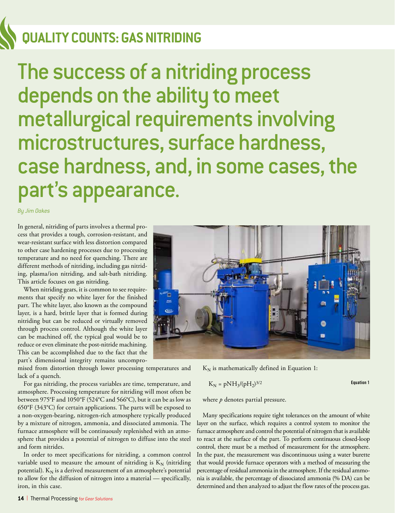## **QUALITY COUNTS: GAS NITRIDING**

The success of a nitriding process depends on the ability to meet metallurgical requirements involving microstructures, surface hardness, case hardness, and, in some cases, the part's appearance.

*By Jim Oakes*

In general, nitriding of parts involves a thermal process that provides a tough, corrosion-resistant, and wear-resistant surface with less distortion compared to other case hardening processes due to processing temperature and no need for quenching. There are different methods of nitriding, including gas nitriding, plasma/ion nitriding, and salt-bath nitriding. This article focuses on gas nitriding.

When nitriding gears, it is common to see requirements that specify no white layer for the finished part. The white layer, also known as the compound layer, is a hard, brittle layer that is formed during nitriding but can be reduced or virtually removed through process control. Although the white layer can be machined off, the typical goal would be to reduce or even eliminate the post-nitride machining. This can be accomplished due to the fact that the part's dimensional integrity remains uncompro-

mised from distortion through lower processing temperatures and lack of a quench.

For gas nitriding, the process variables are time, temperature, and atmosphere. Processing temperature for nitriding will most often be between 975°F and 1050°F (524°C and 566°C), but it can be as low as 650°F (343°C) for certain applications. The parts will be exposed to a non-oxygen-bearing, nitrogen-rich atmosphere typically produced by a mixture of nitrogen, ammonia, and dissociated ammonia. The furnace atmosphere will be continuously replenished with an atmosphere that provides a potential of nitrogen to diffuse into the steel and form nitrides.

In order to meet specifications for nitriding, a common control variable used to measure the amount of nitriding is  $K_N$  (nitriding potential).  $K_N$  is a derived measurement of an atmosphere's potential to allow for the diffusion of nitrogen into a material — specifically, iron, in this case.



 $K_N$  is mathematically defined in Equation 1:

$$
K_N = pNH_3/(pH_2)^{3/2}
$$
 **Equation 1**

where *p* denotes partial pressure.

Many specifications require tight tolerances on the amount of white layer on the surface, which requires a control system to monitor the furnace atmosphere and control the potential of nitrogen that is available to react at the surface of the part. To perform continuous closed-loop control, there must be a method of measurement for the atmosphere. In the past, the measurement was discontinuous using a water burette that would provide furnace operators with a method of measuring the percentage of residual ammonia in the atmosphere. If the residual ammonia is available, the percentage of dissociated ammonia (% DA) can be determined and then analyzed to adjust the flow rates of the process gas.